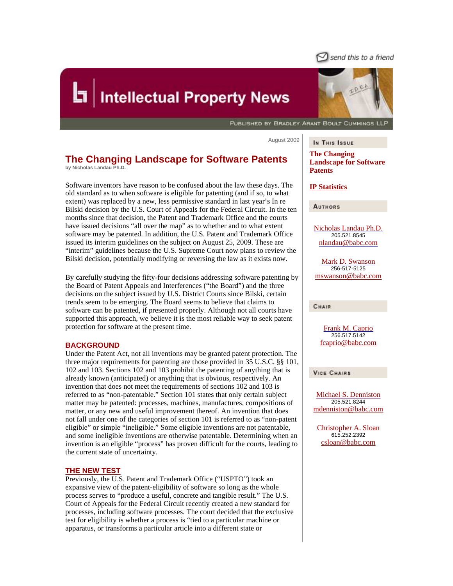

# **Intellectual Property News**

PUBLISHED BY BRADLEY ARANT BOULT CUMMINGS LLP

August 2009

### **The Changing Landscape for Software Patents by Nicholas Landau Ph.D.**

Software inventors have reason to be confused about the law these days. The old standard as to when software is eligible for patenting (and if so, to what extent) was replaced by a new, less permissive standard in last year's In re Bilski decision by the U.S. Court of Appeals for the Federal Circuit. In the ten months since that decision, the Patent and Trademark Office and the courts have issued decisions "all over the map" as to whether and to what extent software may be patented. In addition, the U.S. Patent and Trademark Office issued its interim guidelines on the subject on August 25, 2009. These are "interim" guidelines because the U.S. Supreme Court now plans to review the Bilski decision, potentially modifying or reversing the law as it exists now.

By carefully studying the fifty-four decisions addressing software patenting by the Board of Patent Appeals and Interferences ("the Board") and the three decisions on the subject issued by U.S. District Courts since Bilski, certain trends seem to be emerging. The Board seems to believe that claims to software can be patented, if presented properly. Although not all courts have supported this approach, we believe it is the most reliable way to seek patent protection for software at the present time.

#### **BACKGROUND**

Under the Patent Act, not all inventions may be granted patent protection. The three major requirements for patenting are those provided in 35 U.S.C. §§ 101, 102 and 103. Sections 102 and 103 prohibit the patenting of anything that is already known (anticipated) or anything that is obvious, respectively. An invention that does not meet the requirements of sections 102 and 103 is referred to as "non-patentable." Section 101 states that only certain subject matter may be patented: processes, machines, manufactures, compositions of matter, or any new and useful improvement thereof. An invention that does not fall under one of the categories of section 101 is referred to as "non-patent eligible" or simple "ineligible." Some eligible inventions are not patentable, and some ineligible inventions are otherwise patentable. Determining when an invention is an eligible "process" has proven difficult for the courts, leading to the current state of uncertainty.

#### **THE NEW TEST**

Previously, the U.S. Patent and Trademark Office ("USPTO") took an expansive view of the patent-eligibility of software so long as the whole process serves to "produce a useful, concrete and tangible result." The U.S. Court of Appeals for the Federal Circuit recently created a new standard for processes, including software processes. The court decided that the exclusive test for eligibility is whether a process is "tied to a particular machine or apparatus, or transforms a particular article into a different state or



In This Issue

**The Changing Landscape for Software Patents**

#### **IP Statistics**

**AUTHORS** 

Nicholas Landau Ph.D. 205.521.8545 nlandau@babc.com

Mark D. Swanson 256-517-5125 mswanson@babc.com

**CHAIR** 

Frank M. Caprio 256.517.5142 fcaprio@babc.com

**VICE CHAIRS** 

Michael S. Denniston 205.521.8244 mdenniston@babc.com

Christopher A. Sloan 615.252.2392 csloan@babc.com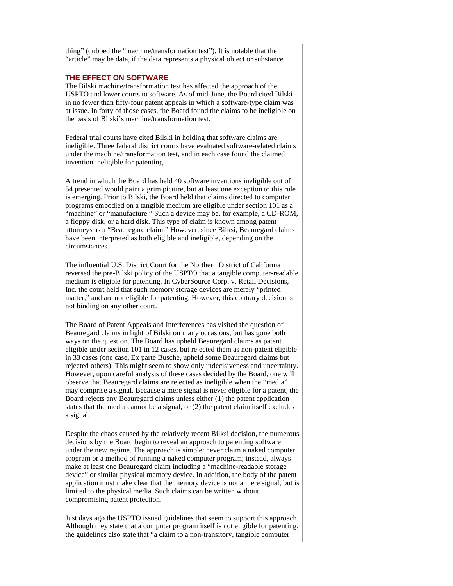thing" (dubbed the "machine/transformation test"). It is notable that the "article" may be data, if the data represents a physical object or substance.

#### **THE EFFECT ON SOFTWARE**

The Bilski machine/transformation test has affected the approach of the USPTO and lower courts to software. As of mid-June, the Board cited Bilski in no fewer than fifty-four patent appeals in which a software-type claim was at issue. In forty of those cases, the Board found the claims to be ineligible on the basis of Bilski's machine/transformation test.

Federal trial courts have cited Bilski in holding that software claims are ineligible. Three federal district courts have evaluated software-related claims under the machine/transformation test, and in each case found the claimed invention ineligible for patenting.

A trend in which the Board has held 40 software inventions ineligible out of 54 presented would paint a grim picture, but at least one exception to this rule is emerging. Prior to Bilski, the Board held that claims directed to computer programs embodied on a tangible medium are eligible under section 101 as a "machine" or "manufacture." Such a device may be, for example, a CD-ROM, a floppy disk, or a hard disk. This type of claim is known among patent attorneys as a "Beauregard claim." However, since Bilksi, Beauregard claims have been interpreted as both eligible and ineligible, depending on the circumstances.

The influential U.S. District Court for the Northern District of California reversed the pre-Bilski policy of the USPTO that a tangible computer-readable medium is eligible for patenting. In CyberSource Corp. v. Retail Decisions, Inc. the court held that such memory storage devices are merely "printed matter," and are not eligible for patenting. However, this contrary decision is not binding on any other court.

The Board of Patent Appeals and Interferences has visited the question of Beauregard claims in light of Bilski on many occasions, but has gone both ways on the question. The Board has upheld Beauregard claims as patent eligible under section 101 in 12 cases, but rejected them as non-patent eligible in 33 cases (one case, Ex parte Busche, upheld some Beauregard claims but rejected others). This might seem to show only indecisiveness and uncertainty. However, upon careful analysis of these cases decided by the Board, one will observe that Beauregard claims are rejected as ineligible when the "media" may comprise a signal. Because a mere signal is never eligible for a patent, the Board rejects any Beauregard claims unless either (1) the patent application states that the media cannot be a signal, or (2) the patent claim itself excludes a signal.

Despite the chaos caused by the relatively recent Bilksi decision, the numerous decisions by the Board begin to reveal an approach to patenting software under the new regime. The approach is simple: never claim a naked computer program or a method of running a naked computer program; instead, always make at least one Beauregard claim including a "machine-readable storage device" or similar physical memory device. In addition, the body of the patent application must make clear that the memory device is not a mere signal, but is limited to the physical media. Such claims can be written without compromising patent protection.

Just days ago the USPTO issued guidelines that seem to support this approach. Although they state that a computer program itself is not eligible for patenting, the guidelines also state that "a claim to a non-transitory, tangible computer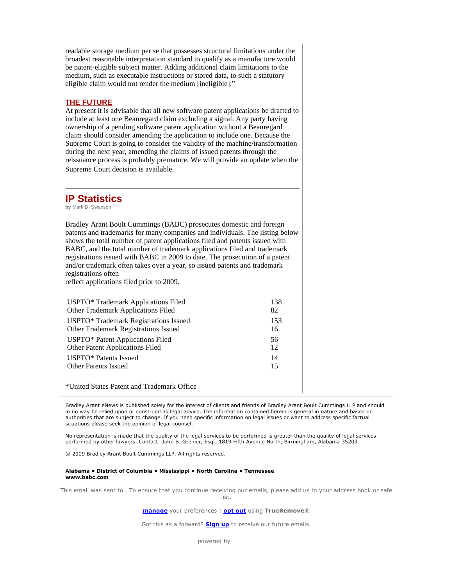readable storage medium per se that possesses structural limitations under the broadest reasonable interpretation standard to qualify as a manufacture would be patent-eligible subject matter. Adding additional claim limitations to the medium, such as executable instructions or stored data, to such a statutory eligible claim would not render the medium [ineligible]."

#### **THE FUTURE**

At present it is advisable that all new software patent applications be drafted to include at least one Beauregard claim excluding a signal. Any party having ownership of a pending software patent application without a Beauregard claim should consider amending the application to include one. Because the Supreme Court is going to consider the validity of the machine/transformation during the next year, amending the claims of issued patents through the reissuance process is probably premature. We will provide an update when the Supreme Court decision is available.

## **IP Statistics**

**by** Mark D. Swanson

Bradley Arant Boult Cummings (BABC) prosecutes domestic and foreign patents and trademarks for many companies and individuals. The listing below shows the total number of patent applications filed and patents issued with BABC, and the total number of trademark applications filed and trademark registrations issued with BABC in 2009 to date. The prosecution of a patent and/or trademark often takes over a year, so issued patents and trademark registrations often

reflect applications filed prior to 2009.

| USPTO* Trademark Applications Filed               | 138 |
|---------------------------------------------------|-----|
| Other Trademark Applications Filed                | 82  |
| USPTO <sup>*</sup> Trademark Registrations Issued | 153 |
| Other Trademark Registrations Issued              | 16  |
| USPTO* Patent Applications Filed                  | 56  |
| <b>Other Patent Applications Filed</b>            | 12  |
| USPTO* Patents Issued                             | 14  |
| <b>Other Patents Issued</b>                       | 15  |
| *United States Patent and Trademark Office        |     |

Bradley Arant eNews is published solely for the interest of clients and friends of Bradley Arant Boult Cummings LLP and should in no way be relied upon or construed as legal advice. The information contained herein is general in nature and based on authorities that are subject to change. If you need specific information on legal issues or want to address specific factual situations please seek the opinion of legal counsel.

No representation is made that the quality of the legal services to be performed is greater than the quality of legal services performed by other lawyers. Contact: John B. Grenier, Esq., 1819 Fifth Avenue North, Birmingham, Alabama 35203.

© 2009 Bradley Arant Boult Cummings LLP. All rights reserved.

#### Alabama • District of Columbia • Mississippi • North Carolina • Tennessee www.babc.com

This email was sent to . To ensure that you continue receiving our emails, please add us to your address book or safe list.

manage your preferences | opt out using TrueRemove®

Got this as a forward? **Sign up** to receive our future emails.